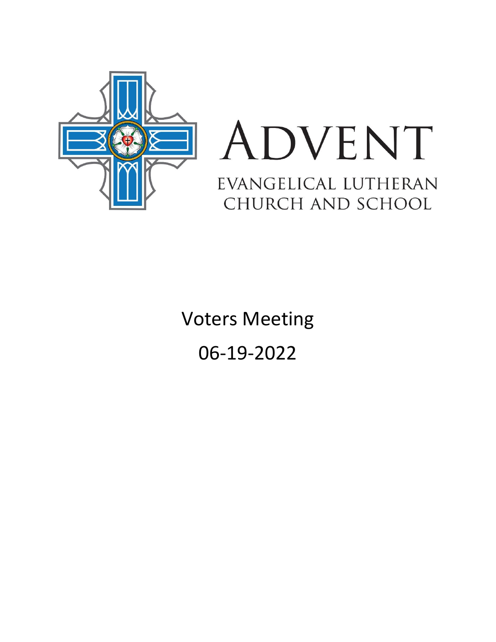

# ADVENT EVANGELICAL LUTHERAN CHURCH AND SCHOOL

Voters Meeting 06-19-2022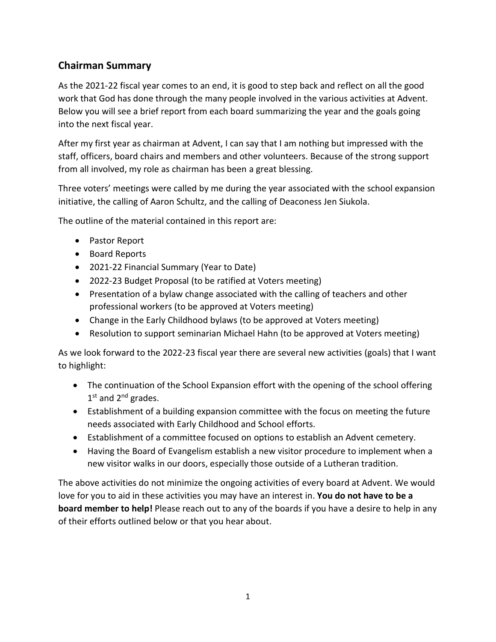# **Chairman Summary**

As the 2021-22 fiscal year comes to an end, it is good to step back and reflect on all the good work that God has done through the many people involved in the various activities at Advent. Below you will see a brief report from each board summarizing the year and the goals going into the next fiscal year.

After my first year as chairman at Advent, I can say that I am nothing but impressed with the staff, officers, board chairs and members and other volunteers. Because of the strong support from all involved, my role as chairman has been a great blessing.

Three voters' meetings were called by me during the year associated with the school expansion initiative, the calling of Aaron Schultz, and the calling of Deaconess Jen Siukola.

The outline of the material contained in this report are:

- Pastor Report
- Board Reports
- 2021-22 Financial Summary (Year to Date)
- 2022-23 Budget Proposal (to be ratified at Voters meeting)
- Presentation of a bylaw change associated with the calling of teachers and other professional workers (to be approved at Voters meeting)
- Change in the Early Childhood bylaws (to be approved at Voters meeting)
- Resolution to support seminarian Michael Hahn (to be approved at Voters meeting)

As we look forward to the 2022-23 fiscal year there are several new activities (goals) that I want to highlight:

- The continuation of the School Expansion effort with the opening of the school offering 1<sup>st</sup> and 2<sup>nd</sup> grades.
- Establishment of a building expansion committee with the focus on meeting the future needs associated with Early Childhood and School efforts.
- Establishment of a committee focused on options to establish an Advent cemetery.
- Having the Board of Evangelism establish a new visitor procedure to implement when a new visitor walks in our doors, especially those outside of a Lutheran tradition.

The above activities do not minimize the ongoing activities of every board at Advent. We would love for you to aid in these activities you may have an interest in. **You do not have to be a board member to help!** Please reach out to any of the boards if you have a desire to help in any of their efforts outlined below or that you hear about.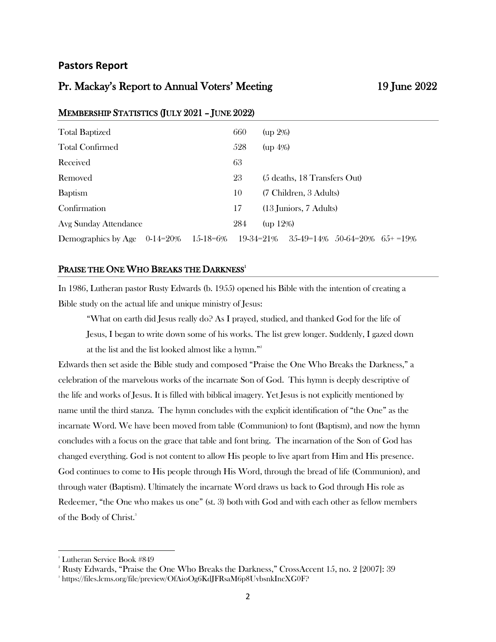### **Pastors Report**

### Pr. Mackay's Report to Annual Voters' Meeting 19 June 2022

| <b>Total Baptized</b>                       | 660       | $up 2\%)$                                |  |  |
|---------------------------------------------|-----------|------------------------------------------|--|--|
| <b>Total Confirmed</b>                      |           | $(up 4\%)$                               |  |  |
| Received                                    | 63        |                                          |  |  |
| Removed                                     | 23        | (5 deaths, 18 Transfers Out)             |  |  |
| <b>Baptism</b>                              |           | (7 Children, 3 Adults)                   |  |  |
| Confirmation                                |           | $(13 \text{ Juniors}, 7 \text{ adults})$ |  |  |
| Avg Sunday Attendance                       | 284       | $up 12\%$                                |  |  |
| 15-18=6%<br>Demographics by Age $0-14=20\%$ | 19-34=21% | $35-49=14\%$ 50-64=20\% 65+ = 19\%       |  |  |

### MEMBERSHIP STATISTICS (JULY 2021 – JUNE 2022)

### PRAISE THE ONE WHO BREAKS THE DARKNESS<sup>1</sup>

In 1986, Lutheran pastor Rusty Edwards (b. 1955) opened his Bible with the intention of creating a Bible study on the actual life and unique ministry of Jesus:

"What on earth did Jesus really do? As I prayed, studied, and thanked God for the life of Jesus, I began to write down some of his works. The list grew longer. Suddenly, I gazed down at the list and the list looked almost like a hymn."<sup>2</sup>

Edwards then set aside the Bible study and composed "Praise the One Who Breaks the Darkness," a celebration of the marvelous works of the incarnate Son of God. This hymn is deeply descriptive of the life and works of Jesus. It is filled with biblical imagery. Yet Jesus is not explicitly mentioned by name until the third stanza. The hymn concludes with the explicit identification of "the One" as the incarnate Word. We have been moved from table (Communion) to font (Baptism), and now the hymn concludes with a focus on the grace that table and font bring. The incarnation of the Son of God has changed everything. God is not content to allow His people to live apart from Him and His presence. God continues to come to His people through His Word, through the bread of life (Communion), and through water (Baptism). Ultimately the incarnate Word draws us back to God through His role as Redeemer, "the One who makes us one" (st. 3) both with God and with each other as fellow members of the Body of Christ.<sup>3</sup>

<sup>&</sup>lt;sup>1</sup> Lutheran Service Book #849

<sup>2</sup> Rusty Edwards, "Praise the One Who Breaks the Darkness," CrossAccent 15, no. 2 [2007]: 39

 $^\mathrm{s}$  https://files.lcms.org/file/preview/OfAioOg6KdJFRsaM6p8UvbsnkIncXG0F?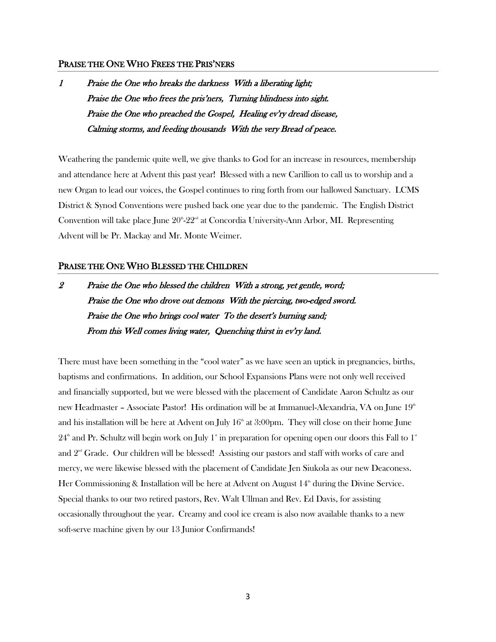### PRAISE THE ONE WHO FREES THE PRIS'NERS

1 Praise the One who breaks the darkness With a liberating light; Praise the One who frees the pris'ners, Turning blindness into sight. Praise the One who preached the Gospel, Healing ev'ry dread disease, Calming storms, and feeding thousands With the very Bread of peace.

Weathering the pandemic quite well, we give thanks to God for an increase in resources, membership and attendance here at Advent this past year! Blessed with a new Carillion to call us to worship and a new Organ to lead our voices, the Gospel continues to ring forth from our hallowed Sanctuary. LCMS District & Synod Conventions were pushed back one year due to the pandemic. The English District Convention will take place June  $20^{\text{th}}-22^{\text{nd}}$  at Concordia University-Ann Arbor, MI. Representing Advent will be Pr. Mackay and Mr. Monte Weimer.

### PRAISE THE ONE WHO BLESSED THE CHILDREN

2 Praise the One who blessed the children With a strong, yet gentle, word; Praise the One who drove out demons With the piercing, two-edged sword. Praise the One who brings cool water To the desert's burning sand; From this Well comes living water, Quenching thirst in ev'ry land.

There must have been something in the "cool water" as we have seen an uptick in pregnancies, births, baptisms and confirmations. In addition, our School Expansions Plans were not only well received and financially supported, but we were blessed with the placement of Candidate Aaron Schultz as our new Headmaster – Associate Pastor! His ordination will be at Immanuel-Alexandria, VA on June 19<sup>th</sup> and his installation will be here at Advent on July  $16<sup>th</sup>$  at 3:00pm. They will close on their home June  $24^{\text{th}}$  and Pr. Schultz will begin work on July 1<sup>st</sup> in preparation for opening open our doors this Fall to 1<sup>st</sup> and  $2<sup>nd</sup>$  Grade. Our children will be blessed! Assisting our pastors and staff with works of care and mercy, we were likewise blessed with the placement of Candidate Jen Siukola as our new Deaconess. Her Commissioning & Installation will be here at Advent on August  $14<sup>th</sup>$  during the Divine Service. Special thanks to our two retired pastors, Rev. Walt Ullman and Rev. Ed Davis, for assisting occasionally throughout the year. Creamy and cool ice cream is also now available thanks to a new soft-serve machine given by our 13 Junior Confirmands!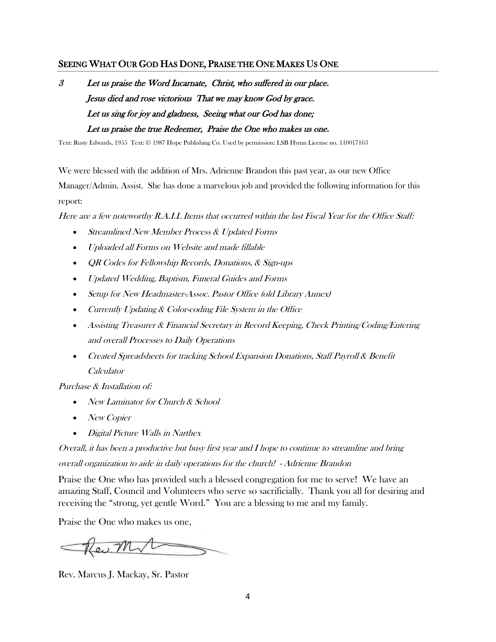### SEEING WHAT OUR GOD HAS DONE, PRAISE THE ONE MAKES US ONE

3 Let us praise the Word Incarnate, Christ, who suffered in our place. Jesus died and rose victorious That we may know God by grace. Let us sing for joy and gladness, Seeing what our God has done; Let us praise the true Redeemer, Praise the One who makes us one.

Text: Rusty Edwards, 1955 Text: © 1987 Hope Publishing Co. Used by permission: LSB Hymn License no. 110017163

We were blessed with the addition of Mrs. Adrienne Brandon this past year, as our new Office Manager/Admin. Assist. She has done a marvelous job and provided the following information for this report:

Here are a few noteworthy R.A.I.L Items that occurred within the last Fiscal Year for the Office Staff:

- Streamlined New Member Process & Updated Forms
- Uploaded all Forms on Website and made fillable
- QR Codes for Fellowship Records, Donations, & Sign-ups
- Updated Wedding, Baptism, Funeral Guides and Forms
- Setup for New Headmaster-Assoc. Pastor Office (old Library Annex)
- Currently Updating & Color-coding File System in the Office
- Assisting Treasurer & Financial Secretary in Record Keeping, Check Printing/Coding/Entering and overall Processes to Daily Operations
- Created Spreadsheets for tracking School Expansion Donations, Staff Payroll & Benefit Calculator

Purchase & Installation of:

- New Laminator for Church & School
- New Copier
- Digital Picture Walls in Narthex

Overall, it has been a productive but busy first year and I hope to continue to streamline and bring overall organization to aide in daily operations for the church! - Adrienne Brandon

Praise the One who has provided such a blessed congregation for me to serve! We have an amazing Staff, Council and Volunteers who serve so sacrificially. Thank you all for desiring and receiving the "strong, yet gentle Word." You are a blessing to me and my family.

Praise the One who makes us one,

Rev. Mr

Rev. Marcus J. Mackay, Sr. Pastor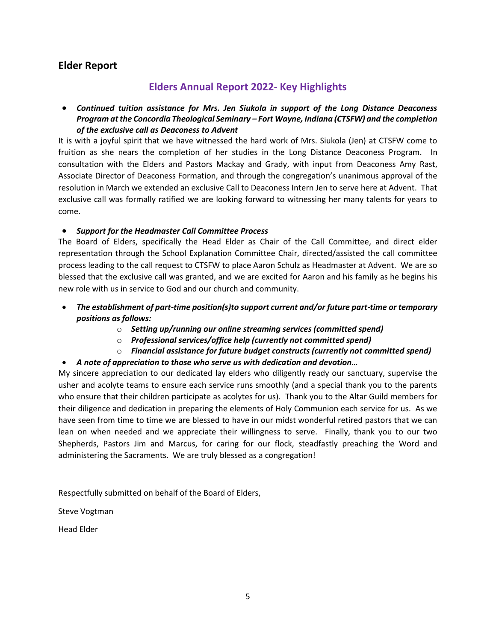### **Elder Report**

## **Elders Annual Report 2022- Key Highlights**

• *Continued tuition assistance for Mrs. Jen Siukola in support of the Long Distance Deaconess Program at the Concordia Theological Seminary – Fort Wayne, Indiana (CTSFW) and the completion of the exclusive call as Deaconess to Advent* 

It is with a joyful spirit that we have witnessed the hard work of Mrs. Siukola (Jen) at CTSFW come to fruition as she nears the completion of her studies in the Long Distance Deaconess Program. In consultation with the Elders and Pastors Mackay and Grady, with input from Deaconess Amy Rast, Associate Director of Deaconess Formation, and through the congregation's unanimous approval of the resolution in March we extended an exclusive Call to Deaconess Intern Jen to serve here at Advent. That exclusive call was formally ratified we are looking forward to witnessing her many talents for years to come.

### • *Support for the Headmaster Call Committee Process*

The Board of Elders, specifically the Head Elder as Chair of the Call Committee, and direct elder representation through the School Explanation Committee Chair, directed/assisted the call committee process leading to the call request to CTSFW to place Aaron Schulz as Headmaster at Advent. We are so blessed that the exclusive call was granted, and we are excited for Aaron and his family as he begins his new role with us in service to God and our church and community.

- *The establishment of part-time position(s)to support current and/or future part-time or temporary positions as follows:*
	- o *Setting up/running our online streaming services (committed spend)*
	- o *Professional services/office help (currently not committed spend)*
	- o *Financial assistance for future budget constructs (currently not committed spend)*

### • *A note of appreciation to those who serve us with dedication and devotion…*

My sincere appreciation to our dedicated lay elders who diligently ready our sanctuary, supervise the usher and acolyte teams to ensure each service runs smoothly (and a special thank you to the parents who ensure that their children participate as acolytes for us). Thank you to the Altar Guild members for their diligence and dedication in preparing the elements of Holy Communion each service for us. As we have seen from time to time we are blessed to have in our midst wonderful retired pastors that we can lean on when needed and we appreciate their willingness to serve. Finally, thank you to our two Shepherds, Pastors Jim and Marcus, for caring for our flock, steadfastly preaching the Word and administering the Sacraments. We are truly blessed as a congregation!

Respectfully submitted on behalf of the Board of Elders,

Steve Vogtman

Head Elder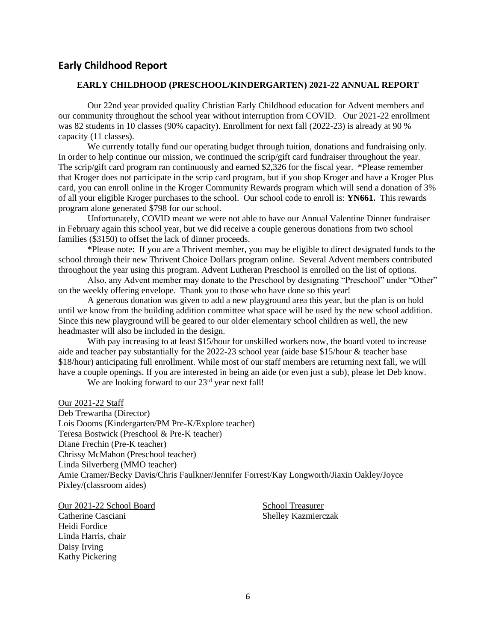### **Early Childhood Report**

### **EARLY CHILDHOOD (PRESCHOOL/KINDERGARTEN) 2021-22 ANNUAL REPORT**

Our 22nd year provided quality Christian Early Childhood education for Advent members and our community throughout the school year without interruption from COVID. Our 2021-22 enrollment was 82 students in 10 classes (90% capacity). Enrollment for next fall (2022-23) is already at 90 % capacity (11 classes).

We currently totally fund our operating budget through tuition, donations and fundraising only. In order to help continue our mission, we continued the scrip/gift card fundraiser throughout the year. The scrip/gift card program ran continuously and earned \$2,326 for the fiscal year. \*Please remember that Kroger does not participate in the scrip card program, but if you shop Kroger and have a Kroger Plus card, you can enroll online in the Kroger Community Rewards program which will send a donation of 3% of all your eligible Kroger purchases to the school. Our school code to enroll is: **YN661.** This rewards program alone generated \$798 for our school.

Unfortunately, COVID meant we were not able to have our Annual Valentine Dinner fundraiser in February again this school year, but we did receive a couple generous donations from two school families (\$3150) to offset the lack of dinner proceeds.

\*Please note: If you are a Thrivent member, you may be eligible to direct designated funds to the school through their new Thrivent Choice Dollars program online. Several Advent members contributed throughout the year using this program. Advent Lutheran Preschool is enrolled on the list of options.

Also, any Advent member may donate to the Preschool by designating "Preschool" under "Other" on the weekly offering envelope. Thank you to those who have done so this year!

A generous donation was given to add a new playground area this year, but the plan is on hold until we know from the building addition committee what space will be used by the new school addition. Since this new playground will be geared to our older elementary school children as well, the new headmaster will also be included in the design.

With pay increasing to at least \$15/hour for unskilled workers now, the board voted to increase aide and teacher pay substantially for the 2022-23 school year (aide base \$15/hour & teacher base \$18/hour) anticipating full enrollment. While most of our staff members are returning next fall, we will have a couple openings. If you are interested in being an aide (or even just a sub), please let Deb know.

We are looking forward to our 23<sup>rd</sup> year next fall!

Our 2021-22 Staff

Deb Trewartha (Director) Lois Dooms (Kindergarten/PM Pre-K/Explore teacher) Teresa Bostwick (Preschool & Pre-K teacher) Diane Frechin (Pre-K teacher) Chrissy McMahon (Preschool teacher) Linda Silverberg (MMO teacher) Amie Cramer/Becky Davis/Chris Faulkner/Jennifer Forrest/Kay Longworth/Jiaxin Oakley/Joyce Pixley/(classroom aides)

Our 2021-22 School Board School Treasurer

Heidi Fordice Linda Harris, chair Daisy Irving Kathy Pickering

Catherine Casciani Shelley Kazmierczak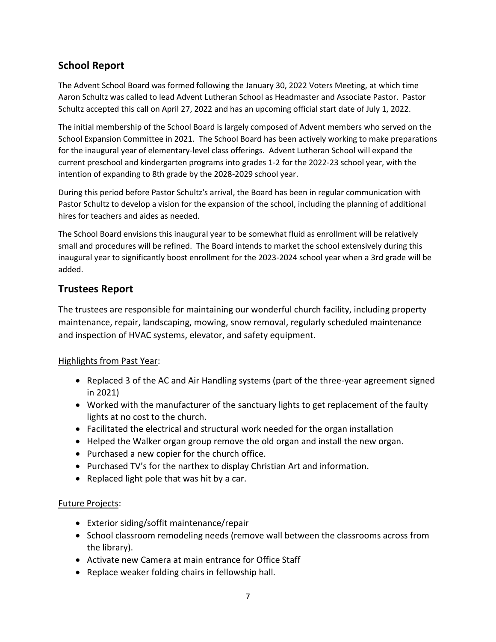# **School Report**

The Advent School Board was formed following the January 30, 2022 Voters Meeting, at which time Aaron Schultz was called to lead Advent Lutheran School as Headmaster and Associate Pastor. Pastor Schultz accepted this call on April 27, 2022 and has an upcoming official start date of July 1, 2022.

The initial membership of the School Board is largely composed of Advent members who served on the School Expansion Committee in 2021. The School Board has been actively working to make preparations for the inaugural year of elementary-level class offerings. Advent Lutheran School will expand the current preschool and kindergarten programs into grades 1-2 for the 2022-23 school year, with the intention of expanding to 8th grade by the 2028-2029 school year.

During this period before Pastor Schultz's arrival, the Board has been in regular communication with Pastor Schultz to develop a vision for the expansion of the school, including the planning of additional hires for teachers and aides as needed.

The School Board envisions this inaugural year to be somewhat fluid as enrollment will be relatively small and procedures will be refined. The Board intends to market the school extensively during this inaugural year to significantly boost enrollment for the 2023-2024 school year when a 3rd grade will be added.

# **Trustees Report**

The trustees are responsible for maintaining our wonderful church facility, including property maintenance, repair, landscaping, mowing, snow removal, regularly scheduled maintenance and inspection of HVAC systems, elevator, and safety equipment.

### Highlights from Past Year:

- Replaced 3 of the AC and Air Handling systems (part of the three-year agreement signed in 2021)
- Worked with the manufacturer of the sanctuary lights to get replacement of the faulty lights at no cost to the church.
- Facilitated the electrical and structural work needed for the organ installation
- Helped the Walker organ group remove the old organ and install the new organ.
- Purchased a new copier for the church office.
- Purchased TV's for the narthex to display Christian Art and information.
- Replaced light pole that was hit by a car.

### Future Projects:

- Exterior siding/soffit maintenance/repair
- School classroom remodeling needs (remove wall between the classrooms across from the library).
- Activate new Camera at main entrance for Office Staff
- Replace weaker folding chairs in fellowship hall.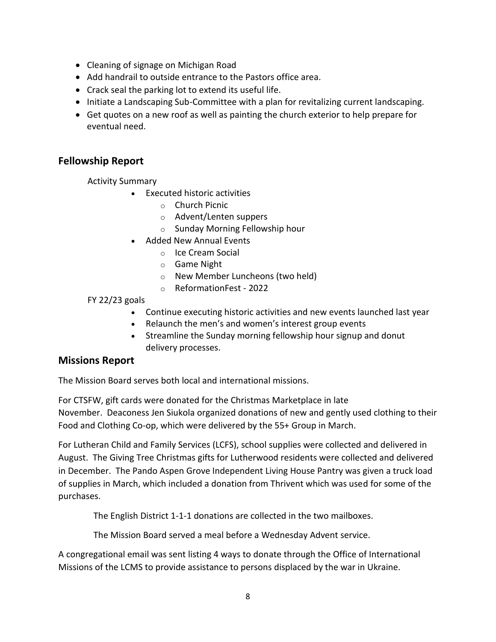- Cleaning of signage on Michigan Road
- Add handrail to outside entrance to the Pastors office area.
- Crack seal the parking lot to extend its useful life.
- Initiate a Landscaping Sub-Committee with a plan for revitalizing current landscaping.
- Get quotes on a new roof as well as painting the church exterior to help prepare for eventual need.

## **Fellowship Report**

Activity Summary

- Executed historic activities
	- o Church Picnic
	- o Advent/Lenten suppers
	- o Sunday Morning Fellowship hour
- Added New Annual Events
	- o Ice Cream Social
	- o Game Night
	- o New Member Luncheons (two held)
	- o ReformationFest 2022

FY 22/23 goals

- Continue executing historic activities and new events launched last year
- Relaunch the men's and women's interest group events
- Streamline the Sunday morning fellowship hour signup and donut delivery processes.

### **Missions Report**

The Mission Board serves both local and international missions.

For CTSFW, gift cards were donated for the Christmas Marketplace in late November. Deaconess Jen Siukola organized donations of new and gently used clothing to their Food and Clothing Co-op, which were delivered by the 55+ Group in March.

For Lutheran Child and Family Services (LCFS), school supplies were collected and delivered in August. The Giving Tree Christmas gifts for Lutherwood residents were collected and delivered in December. The Pando Aspen Grove Independent Living House Pantry was given a truck load of supplies in March, which included a donation from Thrivent which was used for some of the purchases.

The English District 1-1-1 donations are collected in the two mailboxes.

The Mission Board served a meal before a Wednesday Advent service.

A congregational email was sent listing 4 ways to donate through the Office of International Missions of the LCMS to provide assistance to persons displaced by the war in Ukraine.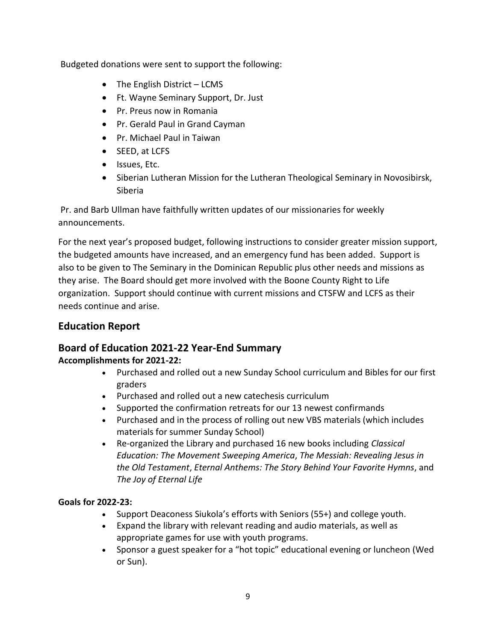Budgeted donations were sent to support the following:

- The English District LCMS
- Ft. Wayne Seminary Support, Dr. Just
- Pr. Preus now in Romania
- Pr. Gerald Paul in Grand Cayman
- Pr. Michael Paul in Taiwan
- SEED, at LCFS
- Issues, Etc.
- Siberian Lutheran Mission for the Lutheran Theological Seminary in Novosibirsk, Siberia

Pr. and Barb Ullman have faithfully written updates of our missionaries for weekly announcements.

For the next year's proposed budget, following instructions to consider greater mission support, the budgeted amounts have increased, and an emergency fund has been added. Support is also to be given to The Seminary in the Dominican Republic plus other needs and missions as they arise. The Board should get more involved with the Boone County Right to Life organization. Support should continue with current missions and CTSFW and LCFS as their needs continue and arise.

# **Education Report**

# **Board of Education 2021-22 Year-End Summary**

### **Accomplishments for 2021-22:**

- Purchased and rolled out a new Sunday School curriculum and Bibles for our first graders
- Purchased and rolled out a new catechesis curriculum
- Supported the confirmation retreats for our 13 newest confirmands
- Purchased and in the process of rolling out new VBS materials (which includes materials for summer Sunday School)
- Re-organized the Library and purchased 16 new books including *Classical Education: The Movement Sweeping America*, *The Messiah: Revealing Jesus in the Old Testament*, *Eternal Anthems: The Story Behind Your Favorite Hymns*, and *The Joy of Eternal Life*

### **Goals for 2022-23:**

- Support Deaconess Siukola's efforts with Seniors (55+) and college youth.
- Expand the library with relevant reading and audio materials, as well as appropriate games for use with youth programs.
- Sponsor a guest speaker for a "hot topic" educational evening or luncheon (Wed or Sun).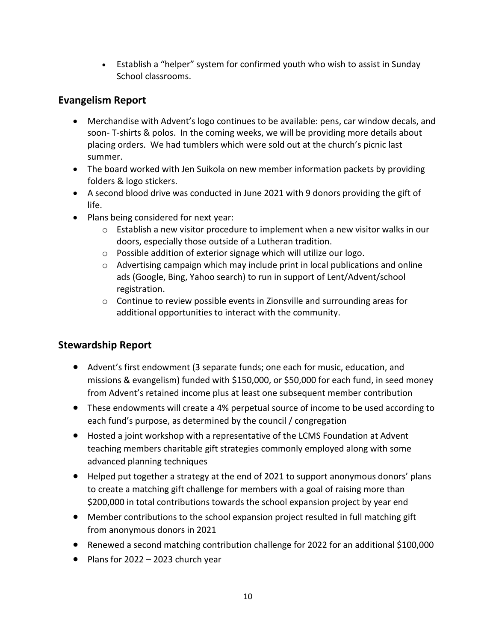• Establish a "helper" system for confirmed youth who wish to assist in Sunday School classrooms.

# **Evangelism Report**

- Merchandise with Advent's logo continues to be available: pens, car window decals, and soon- T-shirts & polos. In the coming weeks, we will be providing more details about placing orders. We had tumblers which were sold out at the church's picnic last summer.
- The board worked with Jen Suikola on new member information packets by providing folders & logo stickers.
- A second blood drive was conducted in June 2021 with 9 donors providing the gift of life.
- Plans being considered for next year:
	- $\circ$  Establish a new visitor procedure to implement when a new visitor walks in our doors, especially those outside of a Lutheran tradition.
	- o Possible addition of exterior signage which will utilize our logo.
	- $\circ$  Advertising campaign which may include print in local publications and online ads (Google, Bing, Yahoo search) to run in support of Lent/Advent/school registration.
	- $\circ$  Continue to review possible events in Zionsville and surrounding areas for additional opportunities to interact with the community.

# **Stewardship Report**

- Advent's first endowment (3 separate funds; one each for music, education, and missions & evangelism) funded with \$150,000, or \$50,000 for each fund, in seed money from Advent's retained income plus at least one subsequent member contribution
- These endowments will create a 4% perpetual source of income to be used according to each fund's purpose, as determined by the council / congregation
- Hosted a joint workshop with a representative of the LCMS Foundation at Advent teaching members charitable gift strategies commonly employed along with some advanced planning techniques
- Helped put together a strategy at the end of 2021 to support anonymous donors' plans to create a matching gift challenge for members with a goal of raising more than \$200,000 in total contributions towards the school expansion project by year end
- Member contributions to the school expansion project resulted in full matching gift from anonymous donors in 2021
- Renewed a second matching contribution challenge for 2022 for an additional \$100,000
- Plans for 2022 2023 church year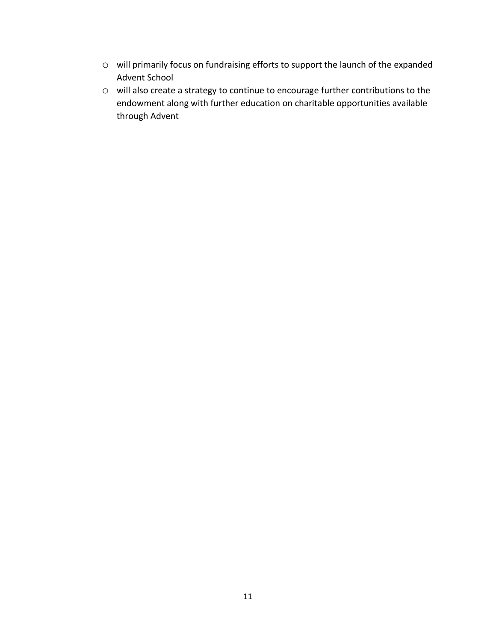- o will primarily focus on fundraising efforts to support the launch of the expanded Advent School
- o will also create a strategy to continue to encourage further contributions to the endowment along with further education on charitable opportunities available through Advent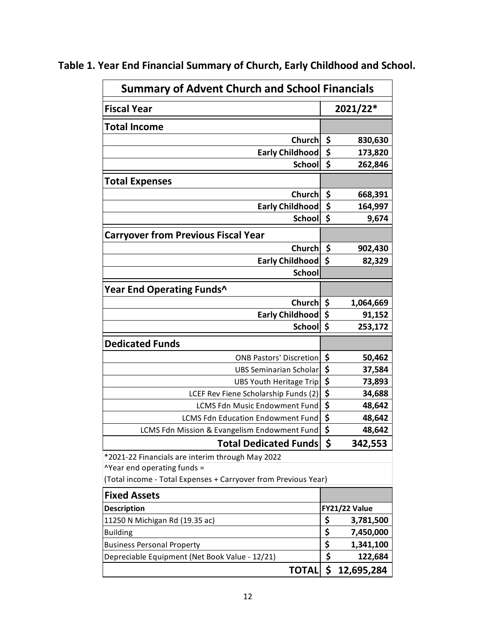| <b>Summary of Advent Church and School Financials</b>          |    |                      |  |  |  |
|----------------------------------------------------------------|----|----------------------|--|--|--|
| <b>Fiscal Year</b>                                             |    | 2021/22*             |  |  |  |
| <b>Total Income</b>                                            |    |                      |  |  |  |
| Church                                                         | \$ | 830,630              |  |  |  |
| <b>Early Childhood</b>                                         | \$ | 173,820              |  |  |  |
| <b>School</b>                                                  | \$ | 262,846              |  |  |  |
| <b>Total Expenses</b>                                          |    |                      |  |  |  |
| Church                                                         | \$ | 668,391              |  |  |  |
| <b>Early Childhood</b>                                         | \$ | 164,997              |  |  |  |
| <b>School</b>                                                  | \$ | 9,674                |  |  |  |
| <b>Carryover from Previous Fiscal Year</b>                     |    |                      |  |  |  |
| Church                                                         | \$ | 902,430              |  |  |  |
| <b>Early Childhood</b>                                         | \$ | 82,329               |  |  |  |
| <b>School</b>                                                  |    |                      |  |  |  |
| Year End Operating Funds^                                      |    |                      |  |  |  |
| <b>Church</b>                                                  | \$ | 1,064,669            |  |  |  |
| <b>Early Childhood</b>                                         | \$ | 91,152               |  |  |  |
| <b>School</b>                                                  | \$ | 253,172              |  |  |  |
| <b>Dedicated Funds</b>                                         |    |                      |  |  |  |
| <b>ONB Pastors' Discretion</b>                                 | \$ | 50,462               |  |  |  |
| <b>UBS Seminarian Scholar</b>                                  | \$ | 37,584               |  |  |  |
| UBS Youth Heritage Trip                                        | \$ | 73,893               |  |  |  |
| LCEF Rev Fiene Scholarship Funds (2)                           | \$ | 34,688               |  |  |  |
| <b>LCMS Fdn Music Endowment Fund</b>                           | \$ | 48,642               |  |  |  |
| <b>LCMS Fdn Education Endowment Fund</b>                       | \$ | 48,642               |  |  |  |
| LCMS Fdn Mission & Evangelism Endowment Fund                   | \$ | 48,642               |  |  |  |
| <b>Total Dedicated Funds</b>                                   | -Ş | 342,553              |  |  |  |
| *2021-22 Financials are interim through May 2022               |    |                      |  |  |  |
| <b>^Year end operating funds =</b>                             |    |                      |  |  |  |
| (Total income - Total Expenses + Carryover from Previous Year) |    |                      |  |  |  |
| <b>Fixed Assets</b>                                            |    |                      |  |  |  |
| <b>Description</b>                                             |    | <b>FY21/22 Value</b> |  |  |  |
| 11250 N Michigan Rd (19.35 ac)                                 | \$ | 3,781,500            |  |  |  |
| <b>Building</b>                                                | \$ | 7,450,000            |  |  |  |
| <b>Business Personal Property</b>                              | \$ | 1,341,100            |  |  |  |
| Depreciable Equipment (Net Book Value - 12/21)                 | \$ | 122,684              |  |  |  |
| <b>TOTAL</b>                                                   | \$ | 12,695,284           |  |  |  |

**Table 1. Year End Financial Summary of Church, Early Childhood and School.**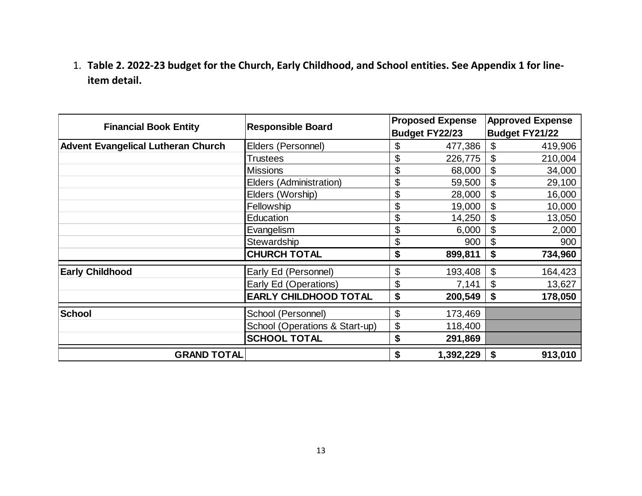1. **Table 2. 2022-23 budget for the Church, Early Childhood, and School entities. See Appendix 1 for lineitem detail.**

| <b>Financial Book Entity</b>              | <b>Responsible Board</b>       |    | <b>Proposed Expense</b><br>Budget FY22/23 | <b>Approved Expense</b><br><b>Budget FY21/22</b> |         |
|-------------------------------------------|--------------------------------|----|-------------------------------------------|--------------------------------------------------|---------|
| <b>Advent Evangelical Lutheran Church</b> | Elders (Personnel)             | \$ | 477,386                                   | \$                                               | 419,906 |
|                                           | <b>Trustees</b>                | \$ | 226,775                                   | \$                                               | 210,004 |
|                                           | <b>Missions</b>                | \$ | 68,000                                    | \$                                               | 34,000  |
|                                           | Elders (Administration)        | \$ | 59,500                                    | \$                                               | 29,100  |
|                                           | Elders (Worship)               | \$ | 28,000                                    | \$                                               | 16,000  |
|                                           | Fellowship                     | \$ | 19,000                                    | $\boldsymbol{\mathsf{S}}$                        | 10,000  |
|                                           | Education                      | \$ | 14,250                                    | \$                                               | 13,050  |
|                                           | Evangelism                     | \$ | 6,000                                     | \$                                               | 2,000   |
|                                           | Stewardship                    | \$ | 900                                       | \$                                               | 900     |
|                                           | <b>CHURCH TOTAL</b>            | \$ | 899,811                                   | \$                                               | 734,960 |
| <b>Early Childhood</b>                    | Early Ed (Personnel)           | \$ | 193,408                                   | $\boldsymbol{\mathsf{S}}$                        | 164,423 |
|                                           | Early Ed (Operations)          | \$ | 7,141                                     | \$                                               | 13,627  |
|                                           | <b>EARLY CHILDHOOD TOTAL</b>   | \$ | 200,549                                   | \$                                               | 178,050 |
| <b>School</b>                             | School (Personnel)             | \$ | 173,469                                   |                                                  |         |
|                                           | School (Operations & Start-up) | \$ | 118,400                                   |                                                  |         |
|                                           | <b>SCHOOL TOTAL</b>            | \$ | 291,869                                   |                                                  |         |
| <b>GRAND TOTAL</b>                        |                                | \$ | 1,392,229                                 | \$                                               | 913,010 |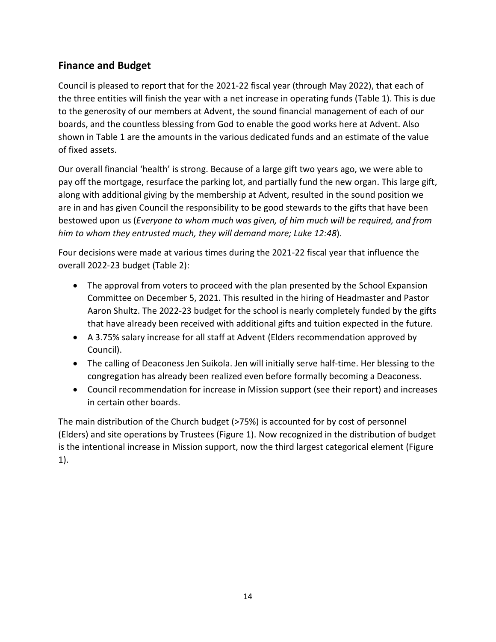# **Finance and Budget**

Council is pleased to report that for the 2021-22 fiscal year (through May 2022), that each of the three entities will finish the year with a net increase in operating funds (Table 1). This is due to the generosity of our members at Advent, the sound financial management of each of our boards, and the countless blessing from God to enable the good works here at Advent. Also shown in Table 1 are the amounts in the various dedicated funds and an estimate of the value of fixed assets.

Our overall financial 'health' is strong. Because of a large gift two years ago, we were able to pay off the mortgage, resurface the parking lot, and partially fund the new organ. This large gift, along with additional giving by the membership at Advent, resulted in the sound position we are in and has given Council the responsibility to be good stewards to the gifts that have been bestowed upon us (*Everyone to whom much was given, of him much will be required, and from him to whom they entrusted much, they will demand more; Luke 12:48*).

Four decisions were made at various times during the 2021-22 fiscal year that influence the overall 2022-23 budget (Table 2):

- The approval from voters to proceed with the plan presented by the School Expansion Committee on December 5, 2021. This resulted in the hiring of Headmaster and Pastor Aaron Shultz. The 2022-23 budget for the school is nearly completely funded by the gifts that have already been received with additional gifts and tuition expected in the future.
- A 3.75% salary increase for all staff at Advent (Elders recommendation approved by Council).
- The calling of Deaconess Jen Suikola. Jen will initially serve half-time. Her blessing to the congregation has already been realized even before formally becoming a Deaconess.
- Council recommendation for increase in Mission support (see their report) and increases in certain other boards.

The main distribution of the Church budget (>75%) is accounted for by cost of personnel (Elders) and site operations by Trustees (Figure 1). Now recognized in the distribution of budget is the intentional increase in Mission support, now the third largest categorical element (Figure 1).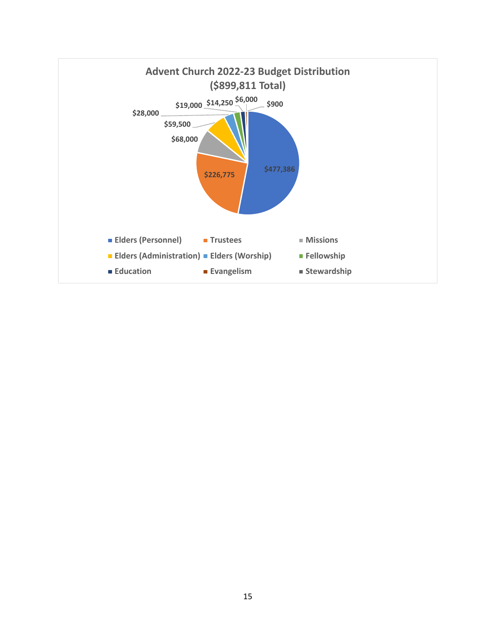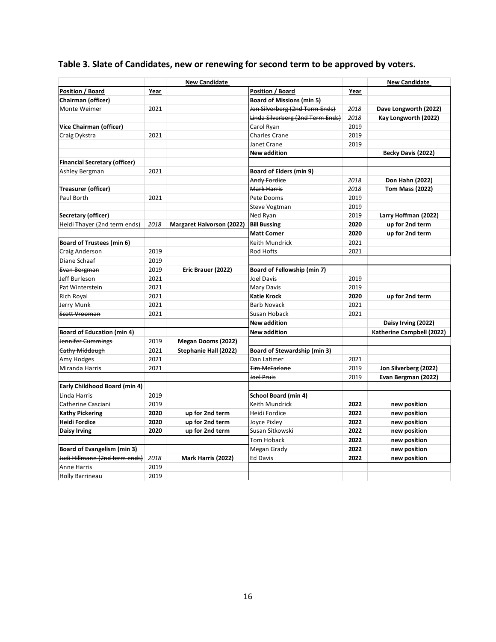| Position / Board<br>Year<br>Year<br><b>Board of Missions (min 5)</b><br>2021<br>Jon Silverberg (2nd Term Ends)<br>2018<br>Dave Longworth (2022)<br>Linda Silverberg (2nd Term Ends)<br>2018<br>Kay Longworth (2022)<br>Carol Ryan<br>2019<br>2021<br><b>Charles Crane</b><br>2019<br>Janet Crane<br>2019<br><b>New addition</b><br>Becky Davis (2022)<br>2021<br><b>Board of Elders (min 9)</b><br>Andy Fordice<br>2018<br>Don Hahn (2022)<br>Mark Harris<br>2018<br><b>Tom Mass (2022)</b><br>Pete Dooms<br>2021<br>2019<br>Steve Vogtman<br>2019<br>Ned Ryan<br>2019<br>Larry Hoffman (2022)<br>2018<br><b>Margaret Halvorson (2022)</b><br><b>Bill Bussing</b><br>2020<br>up for 2nd term<br><b>Matt Comer</b><br>2020<br>up for 2nd term<br>Keith Mundrick<br>2021<br>2019<br>Rod Hofts<br>2021<br>2019<br>2019<br>Eric Brauer (2022)<br>Board of Fellowship (min 7)<br>2021<br>Joel Davis<br>2019<br>2021<br>Mary Davis<br>2019<br>2021<br><b>Katie Krock</b><br>2020<br>up for 2nd term<br>2021<br><b>Barb Novack</b><br>2021<br>2021<br>Susan Hoback<br>2021<br><b>New addition</b><br>Daisy Irving (2022)<br><b>New addition</b><br>Katherine Campbell (2022)<br>2019<br>Megan Dooms (2022)<br><b>Cathy Middaugh</b><br>2021<br>Stephanie Hall (2022)<br>Board of Stewardship (min 3)<br>2021<br>Dan Latimer<br>2021<br>2021<br><b>Tim McFarlane</b><br>2019<br>Jon Silverberg (2022)<br>Joel Pruis<br>Evan Bergman (2022)<br>2019<br>Early Childhood Board (min 4)<br><b>School Board (min 4)</b><br>2019<br>Keith Mundrick<br>Catherine Casciani<br>2019<br>2022<br>new position<br>2020<br>up for 2nd term<br>Heidi Fordice<br>2022<br>new position<br><b>Kathy Pickering</b><br><b>Heidi Fordice</b><br>2020<br>up for 2nd term<br>Joyce Pixley<br>2022<br>new position<br>2020<br>up for 2nd term<br>Susan Sitkowski<br>2022<br>new position<br><b>Daisy Irving</b><br>Tom Hoback<br>2022<br>new position<br><b>Board of Evangelism (min 3)</b><br>Megan Grady<br>2022<br>new position<br>Judi Hillmann (2nd term ends)<br>2018<br>Mark Harris (2022)<br><b>Ed Davis</b><br>2022<br>new position<br>2019<br><b>Anne Harris</b><br>2019<br><b>Holly Barrineau</b> |                                      | <b>New Candidate</b> |  | <b>New Candidate</b> |
|-------------------------------------------------------------------------------------------------------------------------------------------------------------------------------------------------------------------------------------------------------------------------------------------------------------------------------------------------------------------------------------------------------------------------------------------------------------------------------------------------------------------------------------------------------------------------------------------------------------------------------------------------------------------------------------------------------------------------------------------------------------------------------------------------------------------------------------------------------------------------------------------------------------------------------------------------------------------------------------------------------------------------------------------------------------------------------------------------------------------------------------------------------------------------------------------------------------------------------------------------------------------------------------------------------------------------------------------------------------------------------------------------------------------------------------------------------------------------------------------------------------------------------------------------------------------------------------------------------------------------------------------------------------------------------------------------------------------------------------------------------------------------------------------------------------------------------------------------------------------------------------------------------------------------------------------------------------------------------------------------------------------------------------------------------------------------------------------------------------------------------------------------------------------------------|--------------------------------------|----------------------|--|----------------------|
|                                                                                                                                                                                                                                                                                                                                                                                                                                                                                                                                                                                                                                                                                                                                                                                                                                                                                                                                                                                                                                                                                                                                                                                                                                                                                                                                                                                                                                                                                                                                                                                                                                                                                                                                                                                                                                                                                                                                                                                                                                                                                                                                                                               | <b>Position / Board</b>              |                      |  |                      |
|                                                                                                                                                                                                                                                                                                                                                                                                                                                                                                                                                                                                                                                                                                                                                                                                                                                                                                                                                                                                                                                                                                                                                                                                                                                                                                                                                                                                                                                                                                                                                                                                                                                                                                                                                                                                                                                                                                                                                                                                                                                                                                                                                                               | Chairman (officer)                   |                      |  |                      |
|                                                                                                                                                                                                                                                                                                                                                                                                                                                                                                                                                                                                                                                                                                                                                                                                                                                                                                                                                                                                                                                                                                                                                                                                                                                                                                                                                                                                                                                                                                                                                                                                                                                                                                                                                                                                                                                                                                                                                                                                                                                                                                                                                                               | Monte Weimer                         |                      |  |                      |
|                                                                                                                                                                                                                                                                                                                                                                                                                                                                                                                                                                                                                                                                                                                                                                                                                                                                                                                                                                                                                                                                                                                                                                                                                                                                                                                                                                                                                                                                                                                                                                                                                                                                                                                                                                                                                                                                                                                                                                                                                                                                                                                                                                               |                                      |                      |  |                      |
|                                                                                                                                                                                                                                                                                                                                                                                                                                                                                                                                                                                                                                                                                                                                                                                                                                                                                                                                                                                                                                                                                                                                                                                                                                                                                                                                                                                                                                                                                                                                                                                                                                                                                                                                                                                                                                                                                                                                                                                                                                                                                                                                                                               | <b>Vice Chairman (officer)</b>       |                      |  |                      |
|                                                                                                                                                                                                                                                                                                                                                                                                                                                                                                                                                                                                                                                                                                                                                                                                                                                                                                                                                                                                                                                                                                                                                                                                                                                                                                                                                                                                                                                                                                                                                                                                                                                                                                                                                                                                                                                                                                                                                                                                                                                                                                                                                                               | Craig Dykstra                        |                      |  |                      |
|                                                                                                                                                                                                                                                                                                                                                                                                                                                                                                                                                                                                                                                                                                                                                                                                                                                                                                                                                                                                                                                                                                                                                                                                                                                                                                                                                                                                                                                                                                                                                                                                                                                                                                                                                                                                                                                                                                                                                                                                                                                                                                                                                                               |                                      |                      |  |                      |
|                                                                                                                                                                                                                                                                                                                                                                                                                                                                                                                                                                                                                                                                                                                                                                                                                                                                                                                                                                                                                                                                                                                                                                                                                                                                                                                                                                                                                                                                                                                                                                                                                                                                                                                                                                                                                                                                                                                                                                                                                                                                                                                                                                               |                                      |                      |  |                      |
|                                                                                                                                                                                                                                                                                                                                                                                                                                                                                                                                                                                                                                                                                                                                                                                                                                                                                                                                                                                                                                                                                                                                                                                                                                                                                                                                                                                                                                                                                                                                                                                                                                                                                                                                                                                                                                                                                                                                                                                                                                                                                                                                                                               | <b>Financial Secretary (officer)</b> |                      |  |                      |
|                                                                                                                                                                                                                                                                                                                                                                                                                                                                                                                                                                                                                                                                                                                                                                                                                                                                                                                                                                                                                                                                                                                                                                                                                                                                                                                                                                                                                                                                                                                                                                                                                                                                                                                                                                                                                                                                                                                                                                                                                                                                                                                                                                               | Ashley Bergman                       |                      |  |                      |
|                                                                                                                                                                                                                                                                                                                                                                                                                                                                                                                                                                                                                                                                                                                                                                                                                                                                                                                                                                                                                                                                                                                                                                                                                                                                                                                                                                                                                                                                                                                                                                                                                                                                                                                                                                                                                                                                                                                                                                                                                                                                                                                                                                               |                                      |                      |  |                      |
|                                                                                                                                                                                                                                                                                                                                                                                                                                                                                                                                                                                                                                                                                                                                                                                                                                                                                                                                                                                                                                                                                                                                                                                                                                                                                                                                                                                                                                                                                                                                                                                                                                                                                                                                                                                                                                                                                                                                                                                                                                                                                                                                                                               | <b>Treasurer (officer)</b>           |                      |  |                      |
|                                                                                                                                                                                                                                                                                                                                                                                                                                                                                                                                                                                                                                                                                                                                                                                                                                                                                                                                                                                                                                                                                                                                                                                                                                                                                                                                                                                                                                                                                                                                                                                                                                                                                                                                                                                                                                                                                                                                                                                                                                                                                                                                                                               | Paul Borth                           |                      |  |                      |
|                                                                                                                                                                                                                                                                                                                                                                                                                                                                                                                                                                                                                                                                                                                                                                                                                                                                                                                                                                                                                                                                                                                                                                                                                                                                                                                                                                                                                                                                                                                                                                                                                                                                                                                                                                                                                                                                                                                                                                                                                                                                                                                                                                               |                                      |                      |  |                      |
|                                                                                                                                                                                                                                                                                                                                                                                                                                                                                                                                                                                                                                                                                                                                                                                                                                                                                                                                                                                                                                                                                                                                                                                                                                                                                                                                                                                                                                                                                                                                                                                                                                                                                                                                                                                                                                                                                                                                                                                                                                                                                                                                                                               | Secretary (officer)                  |                      |  |                      |
|                                                                                                                                                                                                                                                                                                                                                                                                                                                                                                                                                                                                                                                                                                                                                                                                                                                                                                                                                                                                                                                                                                                                                                                                                                                                                                                                                                                                                                                                                                                                                                                                                                                                                                                                                                                                                                                                                                                                                                                                                                                                                                                                                                               | Heidi Thayer (2nd term ends)         |                      |  |                      |
|                                                                                                                                                                                                                                                                                                                                                                                                                                                                                                                                                                                                                                                                                                                                                                                                                                                                                                                                                                                                                                                                                                                                                                                                                                                                                                                                                                                                                                                                                                                                                                                                                                                                                                                                                                                                                                                                                                                                                                                                                                                                                                                                                                               |                                      |                      |  |                      |
|                                                                                                                                                                                                                                                                                                                                                                                                                                                                                                                                                                                                                                                                                                                                                                                                                                                                                                                                                                                                                                                                                                                                                                                                                                                                                                                                                                                                                                                                                                                                                                                                                                                                                                                                                                                                                                                                                                                                                                                                                                                                                                                                                                               | <b>Board of Trustees (min 6)</b>     |                      |  |                      |
|                                                                                                                                                                                                                                                                                                                                                                                                                                                                                                                                                                                                                                                                                                                                                                                                                                                                                                                                                                                                                                                                                                                                                                                                                                                                                                                                                                                                                                                                                                                                                                                                                                                                                                                                                                                                                                                                                                                                                                                                                                                                                                                                                                               | Craig Anderson                       |                      |  |                      |
|                                                                                                                                                                                                                                                                                                                                                                                                                                                                                                                                                                                                                                                                                                                                                                                                                                                                                                                                                                                                                                                                                                                                                                                                                                                                                                                                                                                                                                                                                                                                                                                                                                                                                                                                                                                                                                                                                                                                                                                                                                                                                                                                                                               | Diane Schaaf                         |                      |  |                      |
|                                                                                                                                                                                                                                                                                                                                                                                                                                                                                                                                                                                                                                                                                                                                                                                                                                                                                                                                                                                                                                                                                                                                                                                                                                                                                                                                                                                                                                                                                                                                                                                                                                                                                                                                                                                                                                                                                                                                                                                                                                                                                                                                                                               | Evan Bergman                         |                      |  |                      |
|                                                                                                                                                                                                                                                                                                                                                                                                                                                                                                                                                                                                                                                                                                                                                                                                                                                                                                                                                                                                                                                                                                                                                                                                                                                                                                                                                                                                                                                                                                                                                                                                                                                                                                                                                                                                                                                                                                                                                                                                                                                                                                                                                                               | Jeff Burleson                        |                      |  |                      |
|                                                                                                                                                                                                                                                                                                                                                                                                                                                                                                                                                                                                                                                                                                                                                                                                                                                                                                                                                                                                                                                                                                                                                                                                                                                                                                                                                                                                                                                                                                                                                                                                                                                                                                                                                                                                                                                                                                                                                                                                                                                                                                                                                                               | Pat Winterstein                      |                      |  |                      |
|                                                                                                                                                                                                                                                                                                                                                                                                                                                                                                                                                                                                                                                                                                                                                                                                                                                                                                                                                                                                                                                                                                                                                                                                                                                                                                                                                                                                                                                                                                                                                                                                                                                                                                                                                                                                                                                                                                                                                                                                                                                                                                                                                                               | Rich Royal                           |                      |  |                      |
|                                                                                                                                                                                                                                                                                                                                                                                                                                                                                                                                                                                                                                                                                                                                                                                                                                                                                                                                                                                                                                                                                                                                                                                                                                                                                                                                                                                                                                                                                                                                                                                                                                                                                                                                                                                                                                                                                                                                                                                                                                                                                                                                                                               | Jerry Munk                           |                      |  |                      |
|                                                                                                                                                                                                                                                                                                                                                                                                                                                                                                                                                                                                                                                                                                                                                                                                                                                                                                                                                                                                                                                                                                                                                                                                                                                                                                                                                                                                                                                                                                                                                                                                                                                                                                                                                                                                                                                                                                                                                                                                                                                                                                                                                                               | Scott Vrooman                        |                      |  |                      |
|                                                                                                                                                                                                                                                                                                                                                                                                                                                                                                                                                                                                                                                                                                                                                                                                                                                                                                                                                                                                                                                                                                                                                                                                                                                                                                                                                                                                                                                                                                                                                                                                                                                                                                                                                                                                                                                                                                                                                                                                                                                                                                                                                                               |                                      |                      |  |                      |
|                                                                                                                                                                                                                                                                                                                                                                                                                                                                                                                                                                                                                                                                                                                                                                                                                                                                                                                                                                                                                                                                                                                                                                                                                                                                                                                                                                                                                                                                                                                                                                                                                                                                                                                                                                                                                                                                                                                                                                                                                                                                                                                                                                               | <b>Board of Education (min 4)</b>    |                      |  |                      |
|                                                                                                                                                                                                                                                                                                                                                                                                                                                                                                                                                                                                                                                                                                                                                                                                                                                                                                                                                                                                                                                                                                                                                                                                                                                                                                                                                                                                                                                                                                                                                                                                                                                                                                                                                                                                                                                                                                                                                                                                                                                                                                                                                                               | Jennifer Cummings                    |                      |  |                      |
|                                                                                                                                                                                                                                                                                                                                                                                                                                                                                                                                                                                                                                                                                                                                                                                                                                                                                                                                                                                                                                                                                                                                                                                                                                                                                                                                                                                                                                                                                                                                                                                                                                                                                                                                                                                                                                                                                                                                                                                                                                                                                                                                                                               |                                      |                      |  |                      |
|                                                                                                                                                                                                                                                                                                                                                                                                                                                                                                                                                                                                                                                                                                                                                                                                                                                                                                                                                                                                                                                                                                                                                                                                                                                                                                                                                                                                                                                                                                                                                                                                                                                                                                                                                                                                                                                                                                                                                                                                                                                                                                                                                                               | Amy Hodges                           |                      |  |                      |
|                                                                                                                                                                                                                                                                                                                                                                                                                                                                                                                                                                                                                                                                                                                                                                                                                                                                                                                                                                                                                                                                                                                                                                                                                                                                                                                                                                                                                                                                                                                                                                                                                                                                                                                                                                                                                                                                                                                                                                                                                                                                                                                                                                               | Miranda Harris                       |                      |  |                      |
|                                                                                                                                                                                                                                                                                                                                                                                                                                                                                                                                                                                                                                                                                                                                                                                                                                                                                                                                                                                                                                                                                                                                                                                                                                                                                                                                                                                                                                                                                                                                                                                                                                                                                                                                                                                                                                                                                                                                                                                                                                                                                                                                                                               |                                      |                      |  |                      |
|                                                                                                                                                                                                                                                                                                                                                                                                                                                                                                                                                                                                                                                                                                                                                                                                                                                                                                                                                                                                                                                                                                                                                                                                                                                                                                                                                                                                                                                                                                                                                                                                                                                                                                                                                                                                                                                                                                                                                                                                                                                                                                                                                                               |                                      |                      |  |                      |
|                                                                                                                                                                                                                                                                                                                                                                                                                                                                                                                                                                                                                                                                                                                                                                                                                                                                                                                                                                                                                                                                                                                                                                                                                                                                                                                                                                                                                                                                                                                                                                                                                                                                                                                                                                                                                                                                                                                                                                                                                                                                                                                                                                               | Linda Harris                         |                      |  |                      |
|                                                                                                                                                                                                                                                                                                                                                                                                                                                                                                                                                                                                                                                                                                                                                                                                                                                                                                                                                                                                                                                                                                                                                                                                                                                                                                                                                                                                                                                                                                                                                                                                                                                                                                                                                                                                                                                                                                                                                                                                                                                                                                                                                                               |                                      |                      |  |                      |
|                                                                                                                                                                                                                                                                                                                                                                                                                                                                                                                                                                                                                                                                                                                                                                                                                                                                                                                                                                                                                                                                                                                                                                                                                                                                                                                                                                                                                                                                                                                                                                                                                                                                                                                                                                                                                                                                                                                                                                                                                                                                                                                                                                               |                                      |                      |  |                      |
|                                                                                                                                                                                                                                                                                                                                                                                                                                                                                                                                                                                                                                                                                                                                                                                                                                                                                                                                                                                                                                                                                                                                                                                                                                                                                                                                                                                                                                                                                                                                                                                                                                                                                                                                                                                                                                                                                                                                                                                                                                                                                                                                                                               |                                      |                      |  |                      |
|                                                                                                                                                                                                                                                                                                                                                                                                                                                                                                                                                                                                                                                                                                                                                                                                                                                                                                                                                                                                                                                                                                                                                                                                                                                                                                                                                                                                                                                                                                                                                                                                                                                                                                                                                                                                                                                                                                                                                                                                                                                                                                                                                                               |                                      |                      |  |                      |
|                                                                                                                                                                                                                                                                                                                                                                                                                                                                                                                                                                                                                                                                                                                                                                                                                                                                                                                                                                                                                                                                                                                                                                                                                                                                                                                                                                                                                                                                                                                                                                                                                                                                                                                                                                                                                                                                                                                                                                                                                                                                                                                                                                               |                                      |                      |  |                      |
|                                                                                                                                                                                                                                                                                                                                                                                                                                                                                                                                                                                                                                                                                                                                                                                                                                                                                                                                                                                                                                                                                                                                                                                                                                                                                                                                                                                                                                                                                                                                                                                                                                                                                                                                                                                                                                                                                                                                                                                                                                                                                                                                                                               |                                      |                      |  |                      |
|                                                                                                                                                                                                                                                                                                                                                                                                                                                                                                                                                                                                                                                                                                                                                                                                                                                                                                                                                                                                                                                                                                                                                                                                                                                                                                                                                                                                                                                                                                                                                                                                                                                                                                                                                                                                                                                                                                                                                                                                                                                                                                                                                                               |                                      |                      |  |                      |
|                                                                                                                                                                                                                                                                                                                                                                                                                                                                                                                                                                                                                                                                                                                                                                                                                                                                                                                                                                                                                                                                                                                                                                                                                                                                                                                                                                                                                                                                                                                                                                                                                                                                                                                                                                                                                                                                                                                                                                                                                                                                                                                                                                               |                                      |                      |  |                      |
|                                                                                                                                                                                                                                                                                                                                                                                                                                                                                                                                                                                                                                                                                                                                                                                                                                                                                                                                                                                                                                                                                                                                                                                                                                                                                                                                                                                                                                                                                                                                                                                                                                                                                                                                                                                                                                                                                                                                                                                                                                                                                                                                                                               |                                      |                      |  |                      |

# **Table 3. Slate of Candidates, new or renewing for second term to be approved by voters.**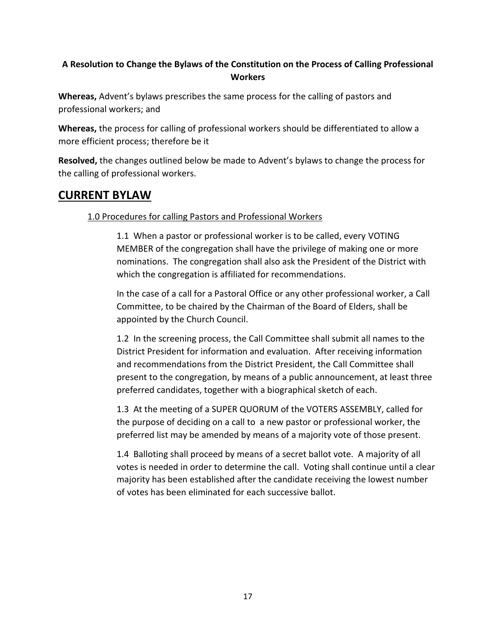### **A Resolution to Change the Bylaws of the Constitution on the Process of Calling Professional Workers**

**Whereas,** Advent's bylaws prescribes the same process for the calling of pastors and professional workers; and

**Whereas,** the process for calling of professional workers should be differentiated to allow a more efficient process; therefore be it

**Resolved,** the changes outlined below be made to Advent's bylaws to change the process for the calling of professional workers.

# **CURRENT BYLAW**

### 1.0 Procedures for calling Pastors and Professional Workers

1.1 When a pastor or professional worker is to be called, every VOTING MEMBER of the congregation shall have the privilege of making one or more nominations. The congregation shall also ask the President of the District with which the congregation is affiliated for recommendations.

In the case of a call for a Pastoral Office or any other professional worker, a Call Committee, to be chaired by the Chairman of the Board of Elders, shall be appointed by the Church Council.

1.2 In the screening process, the Call Committee shall submit all names to the District President for information and evaluation. After receiving information and recommendations from the District President, the Call Committee shall present to the congregation, by means of a public announcement, at least three preferred candidates, together with a biographical sketch of each.

1.3 At the meeting of a SUPER QUORUM of the VOTERS ASSEMBLY, called for the purpose of deciding on a call to a new pastor or professional worker, the preferred list may be amended by means of a majority vote of those present.

1.4 Balloting shall proceed by means of a secret ballot vote. A majority of all votes is needed in order to determine the call. Voting shall continue until a clear majority has been established after the candidate receiving the lowest number of votes has been eliminated for each successive ballot.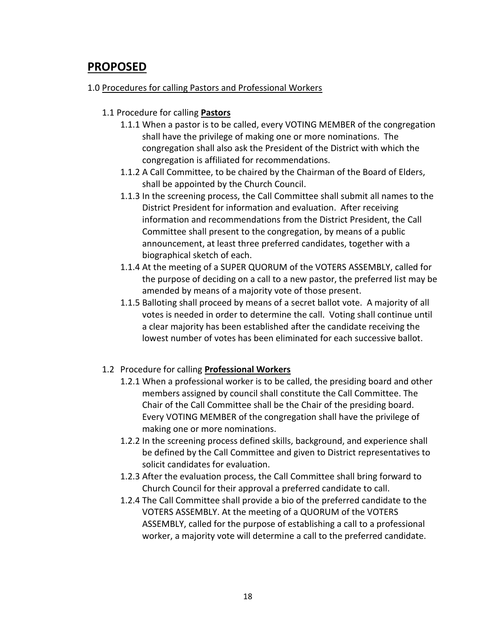# **PROPOSED**

### 1.0 Procedures for calling Pastors and Professional Workers

### 1.1 Procedure for calling **Pastors**

- 1.1.1 When a pastor is to be called, every VOTING MEMBER of the congregation shall have the privilege of making one or more nominations. The congregation shall also ask the President of the District with which the congregation is affiliated for recommendations.
- 1.1.2 A Call Committee, to be chaired by the Chairman of the Board of Elders, shall be appointed by the Church Council.
- 1.1.3 In the screening process, the Call Committee shall submit all names to the District President for information and evaluation. After receiving information and recommendations from the District President, the Call Committee shall present to the congregation, by means of a public announcement, at least three preferred candidates, together with a biographical sketch of each.
- 1.1.4 At the meeting of a SUPER QUORUM of the VOTERS ASSEMBLY, called for the purpose of deciding on a call to a new pastor, the preferred list may be amended by means of a majority vote of those present.
- 1.1.5 Balloting shall proceed by means of a secret ballot vote. A majority of all votes is needed in order to determine the call. Voting shall continue until a clear majority has been established after the candidate receiving the lowest number of votes has been eliminated for each successive ballot.

### 1.2 Procedure for calling **Professional Workers**

- 1.2.1 When a professional worker is to be called, the presiding board and other members assigned by council shall constitute the Call Committee. The Chair of the Call Committee shall be the Chair of the presiding board. Every VOTING MEMBER of the congregation shall have the privilege of making one or more nominations.
- 1.2.2 In the screening process defined skills, background, and experience shall be defined by the Call Committee and given to District representatives to solicit candidates for evaluation.
- 1.2.3 After the evaluation process, the Call Committee shall bring forward to Church Council for their approval a preferred candidate to call.
- 1.2.4 The Call Committee shall provide a bio of the preferred candidate to the VOTERS ASSEMBLY. At the meeting of a QUORUM of the VOTERS ASSEMBLY, called for the purpose of establishing a call to a professional worker, a majority vote will determine a call to the preferred candidate.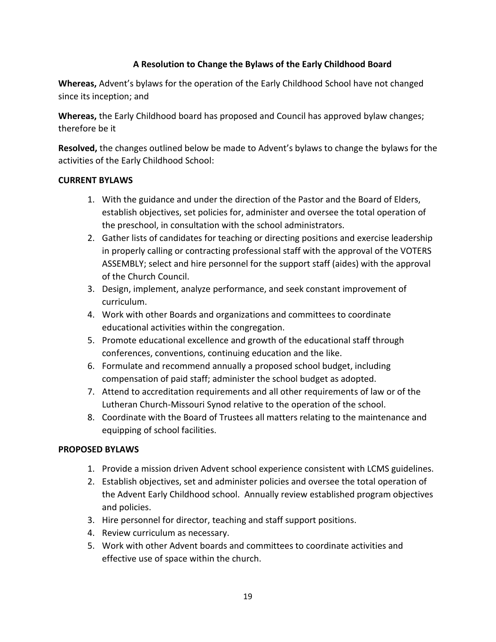### **A Resolution to Change the Bylaws of the Early Childhood Board**

**Whereas,** Advent's bylaws for the operation of the Early Childhood School have not changed since its inception; and

**Whereas,** the Early Childhood board has proposed and Council has approved bylaw changes; therefore be it

**Resolved,** the changes outlined below be made to Advent's bylaws to change the bylaws for the activities of the Early Childhood School:

### **CURRENT BYLAWS**

- 1. With the guidance and under the direction of the Pastor and the Board of Elders, establish objectives, set policies for, administer and oversee the total operation of the preschool, in consultation with the school administrators.
- 2. Gather lists of candidates for teaching or directing positions and exercise leadership in properly calling or contracting professional staff with the approval of the VOTERS ASSEMBLY; select and hire personnel for the support staff (aides) with the approval of the Church Council.
- 3. Design, implement, analyze performance, and seek constant improvement of curriculum.
- 4. Work with other Boards and organizations and committees to coordinate educational activities within the congregation.
- 5. Promote educational excellence and growth of the educational staff through conferences, conventions, continuing education and the like.
- 6. Formulate and recommend annually a proposed school budget, including compensation of paid staff; administer the school budget as adopted.
- 7. Attend to accreditation requirements and all other requirements of law or of the Lutheran Church-Missouri Synod relative to the operation of the school.
- 8. Coordinate with the Board of Trustees all matters relating to the maintenance and equipping of school facilities.

### **PROPOSED BYLAWS**

- 1. Provide a mission driven Advent school experience consistent with LCMS guidelines.
- 2. Establish objectives, set and administer policies and oversee the total operation of the Advent Early Childhood school. Annually review established program objectives and policies.
- 3. Hire personnel for director, teaching and staff support positions.
- 4. Review curriculum as necessary.
- 5. Work with other Advent boards and committees to coordinate activities and effective use of space within the church.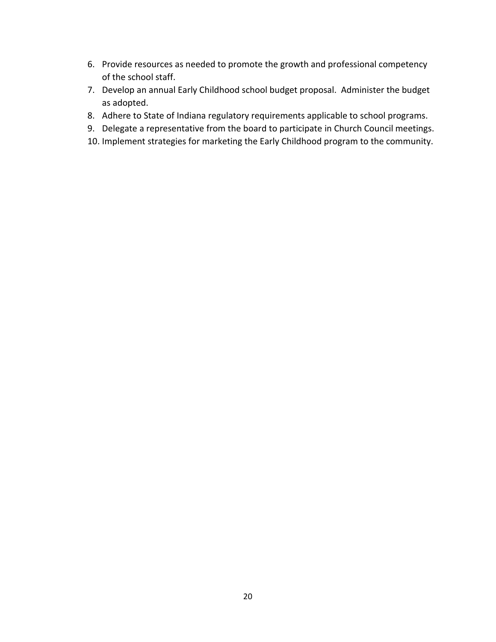- 6. Provide resources as needed to promote the growth and professional competency of the school staff.
- 7. Develop an annual Early Childhood school budget proposal. Administer the budget as adopted.
- 8. Adhere to State of Indiana regulatory requirements applicable to school programs.
- 9. Delegate a representative from the board to participate in Church Council meetings.
- 10. Implement strategies for marketing the Early Childhood program to the community.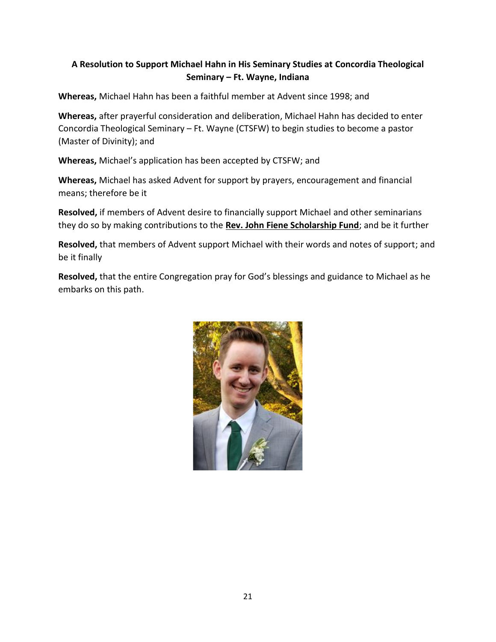## **A Resolution to Support Michael Hahn in His Seminary Studies at Concordia Theological Seminary – Ft. Wayne, Indiana**

**Whereas,** Michael Hahn has been a faithful member at Advent since 1998; and

**Whereas,** after prayerful consideration and deliberation, Michael Hahn has decided to enter Concordia Theological Seminary – Ft. Wayne (CTSFW) to begin studies to become a pastor (Master of Divinity); and

**Whereas,** Michael's application has been accepted by CTSFW; and

**Whereas,** Michael has asked Advent for support by prayers, encouragement and financial means; therefore be it

**Resolved,** if members of Advent desire to financially support Michael and other seminarians they do so by making contributions to the **Rev. John Fiene Scholarship Fund**; and be it further

**Resolved,** that members of Advent support Michael with their words and notes of support; and be it finally

**Resolved,** that the entire Congregation pray for God's blessings and guidance to Michael as he embarks on this path.

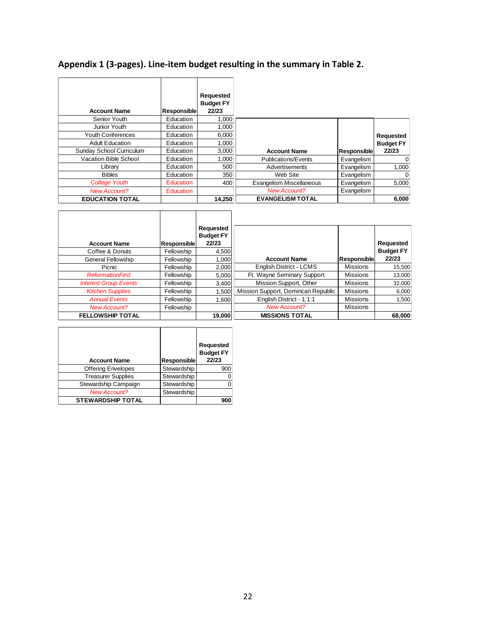# **Appendix 1 (3-pages). Line-item budget resulting in the summary in Table 2.**

| <b>Account Name</b>      | <b>Responsible</b> | Requested<br><b>Budget FY</b><br>22/23 |                          |                    |                  |
|--------------------------|--------------------|----------------------------------------|--------------------------|--------------------|------------------|
| Senior Youth             | Education          | 1.000                                  |                          |                    |                  |
| Junior Youth             | Education          | 1.000                                  |                          |                    |                  |
| <b>Youth Conferences</b> | Education          | 6,000                                  |                          |                    | Requested        |
| <b>Adult Education</b>   | Education          | 1.000                                  |                          |                    | <b>Budget FY</b> |
| Sunday School Curriculum | Education          | 3,000                                  | <b>Account Name</b>      | <b>Responsible</b> | 22/23            |
| Vacation Bible School    | Education          | 1.000                                  | Publications/Events      | Evangelism         | $\Omega$         |
| Library                  | Education          | 500                                    | Advertisements           | Evangelism         | 1,000            |
| <b>Bibles</b>            | Education          | 350                                    | Web Site                 | Evangelism         | 0                |
| <b>College Youth</b>     | Education          | 400                                    | Evangelism Miscellaneous | Evangelism         | 5.000            |
| <b>New Account?</b>      | <b>Education</b>   |                                        | <b>New Account?</b>      | Evangelism         |                  |
| <b>EDUCATION TOTAL</b>   |                    | 14,250                                 | <b>EVANGELISM TOTAL</b>  |                    | 6,000            |

| <b>Account Name</b>          | Responsible | Requested<br><b>Budget FY</b><br>22/23 |                                    |                 | Requested        |
|------------------------------|-------------|----------------------------------------|------------------------------------|-----------------|------------------|
| Coffee & Donuts              | Fellowship  | 4,500                                  |                                    |                 | <b>Budget FY</b> |
| General Fellowship           | Fellowship  | 1,000                                  | <b>Account Name</b>                | Responsible     | 22/23            |
| Picnic                       | Fellowship  | 2,000                                  | English District - LCMS            | <b>Missions</b> | 15,500           |
| <b>ReformationFest</b>       | Fellowship  | 5.000                                  | Ft. Wayne Seminary Support         | <b>Missions</b> | 13,000           |
| <b>Interest Group Events</b> | Fellowship  | 3,400                                  | Mission Support, Other             | <b>Missions</b> | 32.000           |
| <b>Kitchen Supplies</b>      | Fellowship  | 1.500                                  | Mission Support, Domincan Republic | <b>Missions</b> | 6,000            |
| <b>Annual Events</b>         | Fellowship  | 1,600                                  | English District - 1:1:1           | <b>Missions</b> | 1.500            |
| <b>New Account?</b>          | Fellowship  |                                        | <b>New Account?</b>                | <b>Missions</b> |                  |
| <b>FELLOWSHIP TOTAL</b>      |             | 19,000                                 | <b>MISSIONS TOTAL</b>              |                 | 68,000           |

| <b>Account Name</b>       | <b>Responsible</b> | Requested<br><b>Budget FY</b><br>22/23 |
|---------------------------|--------------------|----------------------------------------|
| <b>Offering Envelopes</b> | Stewardship        | 900                                    |
| <b>Treasurer Supplies</b> | Stewardship        |                                        |
| Stewardship Campaign      | Stewardship        |                                        |
| <b>New Account?</b>       | Stewardship        |                                        |
| <b>STEWARDSHIP TOTAL</b>  |                    | 900                                    |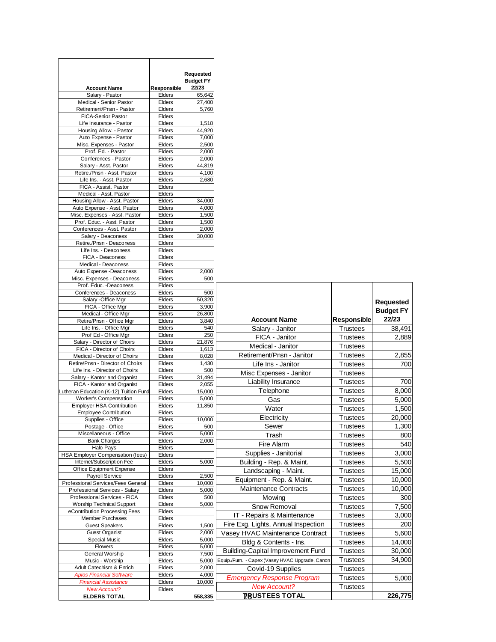|                                                                |                  | Requested<br><b>Budget FY</b> |                                                 |                 |                  |
|----------------------------------------------------------------|------------------|-------------------------------|-------------------------------------------------|-----------------|------------------|
| <b>Account Name</b>                                            | Responsible      | 22/23                         |                                                 |                 |                  |
| Salary - Pastor                                                | Elders           | 65,642                        |                                                 |                 |                  |
| Medical - Senior Pastor<br>Retirement/Pnsn - Pastor            | Elders           | 27,400                        |                                                 |                 |                  |
| <b>FICA-Senior Pastor</b>                                      | Elders<br>Elders | 5,760                         |                                                 |                 |                  |
| Life Insurance - Pastor                                        | Elders           | 1,518                         |                                                 |                 |                  |
| Housing Allow. - Pastor                                        | Elders           | 44,920                        |                                                 |                 |                  |
| Auto Expense - Pastor                                          | Elders           | 7,000                         |                                                 |                 |                  |
| Misc. Expenses - Pastor                                        | Elders           | 2,500                         |                                                 |                 |                  |
| Prof. Ed. - Pastor                                             | Elders           | 2,000                         |                                                 |                 |                  |
| Conferences - Pastor                                           | Elders           | 2,000                         |                                                 |                 |                  |
| Salary - Asst. Pastor                                          | Elders           | 44,819                        |                                                 |                 |                  |
| Retire./Pnsn - Asst. Pastor<br>Life Ins. - Asst. Pastor        | Elders<br>Elders | 4,100<br>2,680                |                                                 |                 |                  |
| FICA - Assist. Pastor                                          | Elders           |                               |                                                 |                 |                  |
| Medical - Asst. Pastor                                         | Elders           |                               |                                                 |                 |                  |
| Housing Allow - Asst. Pastor                                   | Elders           | 34,000                        |                                                 |                 |                  |
| Auto Expense - Asst. Pastor                                    | Elders           | 4,000                         |                                                 |                 |                  |
| Misc. Expenses - Asst. Pastor                                  | Elders           | 1,500                         |                                                 |                 |                  |
| Prof. Educ. - Asst. Pastor                                     | Elders           | 1,500                         |                                                 |                 |                  |
| Conferences - Asst. Pastor<br>Salary - Deaconess               | Elders<br>Elders | 2,000<br>30,000               |                                                 |                 |                  |
| Retire./Pnsn - Deaconess                                       | Elders           |                               |                                                 |                 |                  |
| Life Ins. - Deaconess                                          | Elders           |                               |                                                 |                 |                  |
| FICA - Deaconess                                               | Elders           |                               |                                                 |                 |                  |
| Medical - Deaconess                                            | Elders           |                               |                                                 |                 |                  |
| Auto Expense -Deaconess                                        | Elders           | 2,000                         |                                                 |                 |                  |
| Misc. Expenses - Deaconess                                     | Elders           | 500                           |                                                 |                 |                  |
| Prof. Educ. -Deaconess                                         | Elders           |                               |                                                 |                 |                  |
| Conferences - Deaconess<br>Salary -Office Mgr                  | Elders<br>Elders | 500<br>50,320                 |                                                 |                 |                  |
| FICA - Office Mgr                                              | Elders           | 3,900                         |                                                 |                 | <b>Requested</b> |
| Medical - Office Mgr                                           | Elders           | 26,800                        |                                                 |                 | <b>Budget FY</b> |
| Retire/Pnsn - Office Mgr                                       | Elders           | 3,840                         | <b>Account Name</b>                             | Responsible     | 22/23            |
| Life Ins. - Office Mgr                                         | Elders           | 540                           | Salary - Janitor                                | <b>Trustees</b> | 38,491           |
| Prof Ed - Office Mgr                                           | Elders           | 250                           | FICA - Janitor                                  | <b>Trustees</b> | 2,889            |
| Salary - Director of Choirs                                    | Elders           | 21,876                        | Medical - Janitor                               | Trustees        |                  |
| FICA - Director of Choirs<br>Medical - Director of Choirs      | Elders<br>Elders | 1,613<br>8,028                | Retirement/Pnsn - Janitor                       | Trustees        | 2,855            |
| Retire/Pnsn - Director of Choirs                               | Elders           | 1,430                         |                                                 |                 | 700              |
| Life Ins. - Director of Choirs                                 | Elders           | 500                           | Life Ins - Janitor                              | <b>Trustees</b> |                  |
| Salary - Kantor and Organist                                   | Elders           | 31,494                        | Misc Expenses - Janitor                         | <b>Trustees</b> |                  |
| FICA - Kantor and Organist                                     | Elders           | 2,055                         | Liability Insurance                             | <b>Trustees</b> | 700              |
| Lutheran Education (K-12) Tuition Fund                         | Elders           | 15,000                        | Telephone                                       | <b>Trustees</b> | 8,000            |
| Worker's Compensation                                          | Elders           | 5,000                         | Gas                                             | <b>Trustees</b> | 5,000            |
| <b>Employer HSA Contribution</b>                               | Elders<br>Elders | 11,850                        | Water                                           | Trustees        | 1,500            |
| <b>Employee Contribution</b><br>Supplies - Office              | Elders           | 10.000                        | Electricity                                     | <b>Trustees</b> | 20,000           |
| Postage - Office                                               | Elders           | 500                           | Sewer                                           | <b>Trustees</b> | 1,300            |
| Miscellaneous - Office                                         | Elders           | 5,000                         | Trash                                           | Trustees        | 800              |
| <b>Bank Charges</b>                                            | Elders           | 2,000                         | Fire Alarm                                      | Trustees        | 540              |
| Halo Pays                                                      | Elders           |                               | Supplies - Janitorial                           | <b>Trustees</b> | 3,000            |
| HSA Employer Compensation (fees)                               | Elders           |                               |                                                 |                 |                  |
| Internet/Subscription Fee<br>Office Equipment Expense          | Elders<br>Elders | 5,000                         | Building - Rep. & Maint.                        | Trustees        | 5,500            |
| Payroll Service                                                | Elders           | 2,500                         | Landscaping - Maint.                            | Trustees        | 15,000           |
| Professional Services/Fees General                             | Elders           | 10,000                        | Equipment - Rep. & Maint.                       | <b>Trustees</b> | 10,000           |
| Professional Services - Salary                                 | Elders           | 5,000                         | <b>Maintenance Contracts</b>                    | <b>Trustees</b> | 10,000           |
| Professional Services - FICA                                   | Elders           | 500                           | Mowing                                          | Trustees        | 300              |
| <b>Worship Technical Support</b>                               | Elders           | 5,000                         | Snow Removal                                    | <b>Trustees</b> | 7,500            |
| eContribution Processing Fees                                  | Elders           |                               | IT - Repairs & Maintenance                      | <b>Trustees</b> | 3,000            |
| <b>Member Purchases</b><br><b>Guest Speakers</b>               | Elders<br>Elders | 1,500                         | Fire Exg, Lights, Annual Inspection             | Trustees        | 200              |
| <b>Guest Organist</b>                                          | Elders           | 2,000                         | Vasey HVAC Maintenance Contract                 | <b>Trustees</b> | 5,600            |
| <b>Special Music</b>                                           | Elders           | 5,000                         |                                                 |                 |                  |
| Flowers                                                        | Elders           | 5,000                         | Bldg & Contents - Ins.                          | <b>Trustees</b> | 14,000           |
| General Worship                                                | Elders           | 7,500                         | <b>Building-Capital Improvement Fund</b>        | Trustees        | 30,000           |
| Music - Worship                                                | Elders           | 5,000                         | Equip./Furn. - Capex (Vasey HVAC Upgrade, Canon | <b>Trustees</b> | 34,900           |
| Adult Catechism & Enrich                                       | Elders           | 2,000                         | Covid-19 Supplies                               | Trustees        |                  |
| <b>Aplos Financial Software</b><br><b>Financial Assistance</b> | Elders           | 4,000                         | <b>Emergency Response Program</b>               | <b>Trustees</b> | 5,000            |
| <b>New Account?</b>                                            | Elders<br>Elders | 10,000                        | <b>New Account?</b>                             | Trustees        |                  |
| <b>ELDERS TOTAL</b>                                            |                  | 558,335                       | <b>IBUSTEES TOTAL</b>                           |                 | 226,775          |